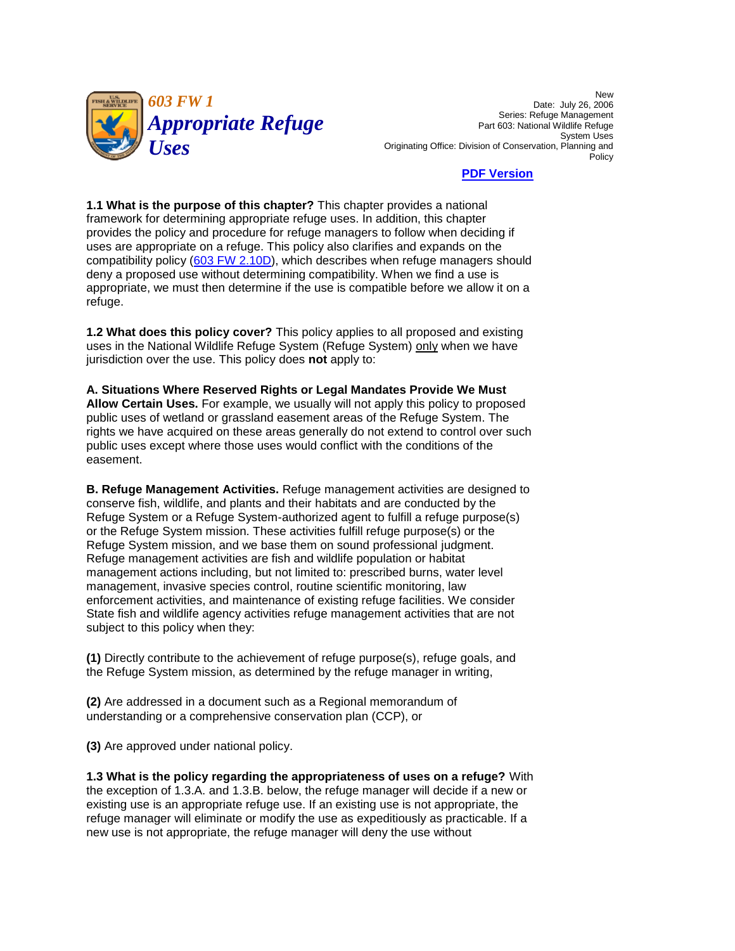

New Date: July 26, 2006 Series: Refuge Management Part 603: National Wildlife Refuge System Uses Originating Office: Division of Conservation, Planning and Policy

#### **[PDF Version](https://www.fws.gov/policy/603fw1.pdf)**

**1.1 What is the purpose of this chapter?** This chapter provides a national framework for determining appropriate refuge uses. In addition, this chapter provides the policy and procedure for refuge managers to follow when deciding if uses are appropriate on a refuge. This policy also clarifies and expands on the compatibility policy [\(603 FW 2.10D\)](https://www.fws.gov/policy/603fw2.html), which describes when refuge managers should deny a proposed use without determining compatibility. When we find a use is appropriate, we must then determine if the use is compatible before we allow it on a refuge.

**1.2 What does this policy cover?** This policy applies to all proposed and existing uses in the National Wildlife Refuge System (Refuge System) only when we have jurisdiction over the use. This policy does **not** apply to:

**A. Situations Where Reserved Rights or Legal Mandates Provide We Must Allow Certain Uses.** For example, we usually will not apply this policy to proposed public uses of wetland or grassland easement areas of the Refuge System. The rights we have acquired on these areas generally do not extend to control over such public uses except where those uses would conflict with the conditions of the easement.

**B. Refuge Management Activities.** Refuge management activities are designed to conserve fish, wildlife, and plants and their habitats and are conducted by the Refuge System or a Refuge System-authorized agent to fulfill a refuge purpose(s) or the Refuge System mission. These activities fulfill refuge purpose(s) or the Refuge System mission, and we base them on sound professional judgment. Refuge management activities are fish and wildlife population or habitat management actions including, but not limited to: prescribed burns, water level management, invasive species control, routine scientific monitoring, law enforcement activities, and maintenance of existing refuge facilities. We consider State fish and wildlife agency activities refuge management activities that are not subject to this policy when they:

**(1)** Directly contribute to the achievement of refuge purpose(s), refuge goals, and the Refuge System mission, as determined by the refuge manager in writing,

**(2)** Are addressed in a document such as a Regional memorandum of understanding or a comprehensive conservation plan (CCP), or

**(3)** Are approved under national policy.

**1.3 What is the policy regarding the appropriateness of uses on a refuge?** With the exception of 1.3.A. and 1.3.B. below, the refuge manager will decide if a new or existing use is an appropriate refuge use. If an existing use is not appropriate, the refuge manager will eliminate or modify the use as expeditiously as practicable. If a new use is not appropriate, the refuge manager will deny the use without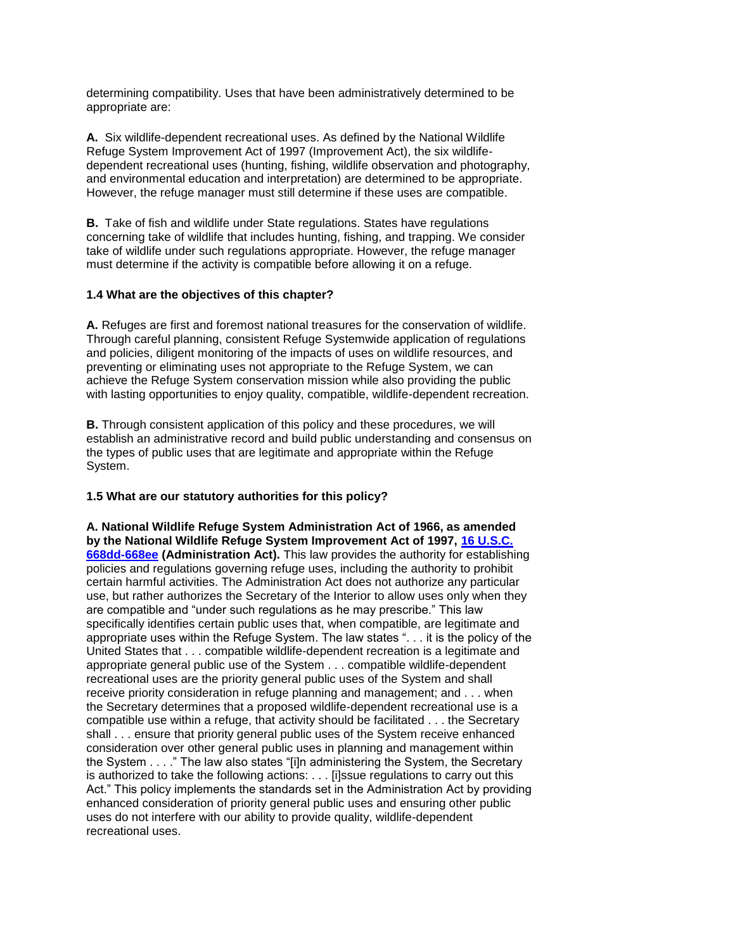determining compatibility. Uses that have been administratively determined to be appropriate are:

**A.** Six wildlife-dependent recreational uses. As defined by the National Wildlife Refuge System Improvement Act of 1997 (Improvement Act), the six wildlifedependent recreational uses (hunting, fishing, wildlife observation and photography, and environmental education and interpretation) are determined to be appropriate. However, the refuge manager must still determine if these uses are compatible.

**B.** Take of fish and wildlife under State regulations. States have regulations concerning take of wildlife that includes hunting, fishing, and trapping. We consider take of wildlife under such regulations appropriate. However, the refuge manager must determine if the activity is compatible before allowing it on a refuge.

# **1.4 What are the objectives of this chapter?**

**A.** Refuges are first and foremost national treasures for the conservation of wildlife. Through careful planning, consistent Refuge Systemwide application of regulations and policies, diligent monitoring of the impacts of uses on wildlife resources, and preventing or eliminating uses not appropriate to the Refuge System, we can achieve the Refuge System conservation mission while also providing the public with lasting opportunities to enjoy quality, compatible, wildlife-dependent recreation.

**B.** Through consistent application of this policy and these procedures, we will establish an administrative record and build public understanding and consensus on the types of public uses that are legitimate and appropriate within the Refuge System.

# **1.5 What are our statutory authorities for this policy?**

**A. National Wildlife Refuge System Administration Act of 1966, as amended by the National Wildlife Refuge System Improvement Act of 1997, [16 U.S.C.](http://uscode.house.gov/search/criteria.shtml)  [668dd-668ee](http://uscode.house.gov/search/criteria.shtml) (Administration Act).** This law provides the authority for establishing policies and regulations governing refuge uses, including the authority to prohibit certain harmful activities. The Administration Act does not authorize any particular use, but rather authorizes the Secretary of the Interior to allow uses only when they are compatible and "under such regulations as he may prescribe." This law specifically identifies certain public uses that, when compatible, are legitimate and appropriate uses within the Refuge System. The law states ". . . it is the policy of the United States that . . . compatible wildlife-dependent recreation is a legitimate and appropriate general public use of the System . . . compatible wildlife-dependent recreational uses are the priority general public uses of the System and shall receive priority consideration in refuge planning and management; and . . . when the Secretary determines that a proposed wildlife-dependent recreational use is a compatible use within a refuge, that activity should be facilitated . . . the Secretary shall . . . ensure that priority general public uses of the System receive enhanced consideration over other general public uses in planning and management within the System . . . ." The law also states "[i]n administering the System, the Secretary is authorized to take the following actions: . . . [i]ssue regulations to carry out this Act." This policy implements the standards set in the Administration Act by providing enhanced consideration of priority general public uses and ensuring other public uses do not interfere with our ability to provide quality, wildlife-dependent recreational uses.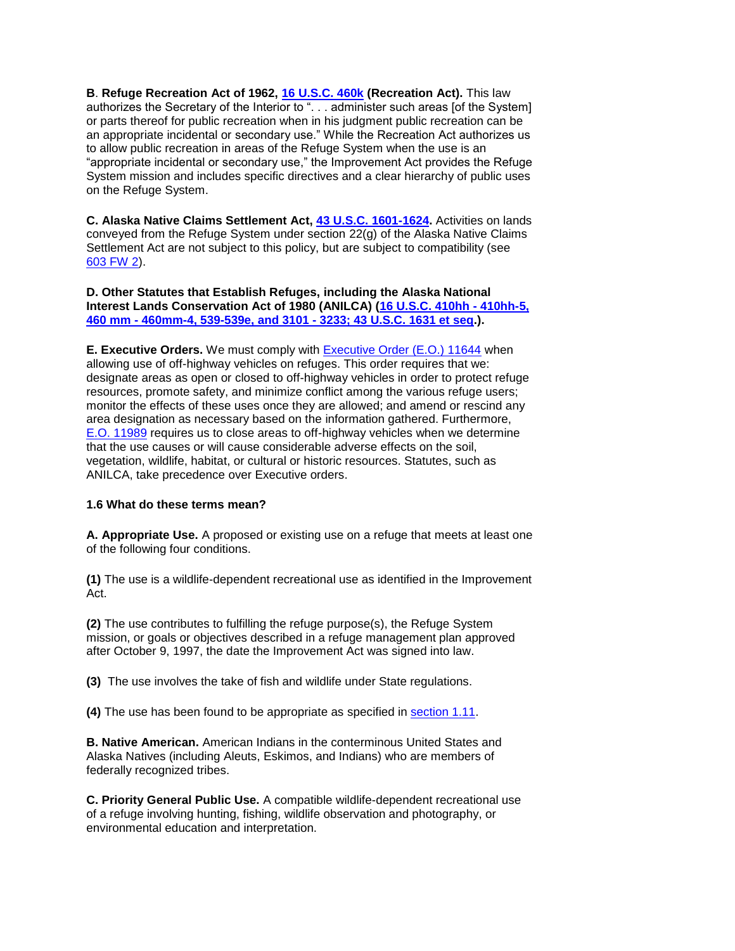**B**. **Refuge Recreation Act of 1962, [16 U.S.C. 460k](http://uscode.house.gov/search/criteria.shtml) (Recreation Act).** This law authorizes the Secretary of the Interior to ". . . administer such areas [of the System] or parts thereof for public recreation when in his judgment public recreation can be an appropriate incidental or secondary use." While the Recreation Act authorizes us to allow public recreation in areas of the Refuge System when the use is an "appropriate incidental or secondary use," the Improvement Act provides the Refuge System mission and includes specific directives and a clear hierarchy of public uses on the Refuge System.

**C. Alaska Native Claims Settlement Act, [43 U.S.C. 1601-1624.](http://uscode.house.gov/search/criteria.shtml)** Activities on lands conveyed from the Refuge System under section 22(g) of the Alaska Native Claims Settlement Act are not subject to this policy, but are subject to compatibility (see [603 FW](https://www.fws.gov/policy/603fw2.html) 2).

**D. Other Statutes that Establish Refuges, including the Alaska National Interest Lands Conservation Act of 1980 (ANILCA) [\(16 U.S.C. 410hh -](http://uscode.house.gov/search/criteria.shtml) 410hh-5, 460 mm - [460mm-4, 539-539e, and 3101 -](http://uscode.house.gov/search/criteria.shtml) 3233; 43 U.S.C. 1631 et seq.).**

**E. Executive Orders.** We must comply with [Executive Order \(E.O.\) 11644](http://www.archives.gov/federal-register/executive-orders/1972.html) when allowing use of off-highway vehicles on refuges. This order requires that we: designate areas as open or closed to off-highway vehicles in order to protect refuge resources, promote safety, and minimize conflict among the various refuge users; monitor the effects of these uses once they are allowed; and amend or rescind any area designation as necessary based on the information gathered. Furthermore, [E.O. 11989](http://www.archives.gov/federal-register/executive-orders/1977-carter.html) requires us to close areas to off-highway vehicles when we determine that the use causes or will cause considerable adverse effects on the soil, vegetation, wildlife, habitat, or cultural or historic resources. Statutes, such as ANILCA, take precedence over Executive orders.

### **1.6 What do these terms mean?**

**A. Appropriate Use.** A proposed or existing use on a refuge that meets at least one of the following four conditions.

**(1)** The use is a wildlife-dependent recreational use as identified in the Improvement Act.

**(2)** The use contributes to fulfilling the refuge purpose(s), the Refuge System mission, or goals or objectives described in a refuge management plan approved after October 9, 1997, the date the Improvement Act was signed into law.

**(3)** The use involves the take of fish and wildlife under State regulations.

**(4)** The use has been found to be appropriate as specified in [section 1.11.](https://www.fws.gov/policy/603fw1.html#section111)

**B. Native American.** American Indians in the conterminous United States and Alaska Natives (including Aleuts, Eskimos, and Indians) who are members of federally recognized tribes.

**C. Priority General Public Use.** A compatible wildlife-dependent recreational use of a refuge involving hunting, fishing, wildlife observation and photography, or environmental education and interpretation.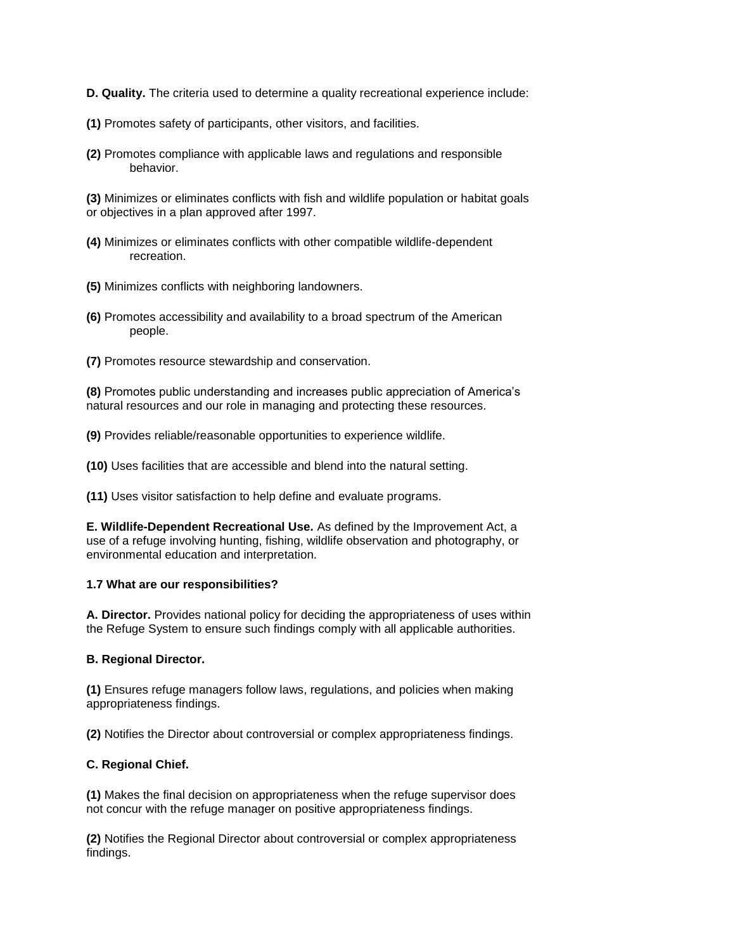**D. Quality.** The criteria used to determine a quality recreational experience include:

- **(1)** Promotes safety of participants, other visitors, and facilities.
- **(2)** Promotes compliance with applicable laws and regulations and responsible behavior.

**(3)** Minimizes or eliminates conflicts with fish and wildlife population or habitat goals or objectives in a plan approved after 1997.

- **(4)** Minimizes or eliminates conflicts with other compatible wildlife-dependent recreation.
- **(5)** Minimizes conflicts with neighboring landowners.
- **(6)** Promotes accessibility and availability to a broad spectrum of the American people.
- **(7)** Promotes resource stewardship and conservation.

**(8)** Promotes public understanding and increases public appreciation of America's natural resources and our role in managing and protecting these resources.

**(9)** Provides reliable/reasonable opportunities to experience wildlife.

**(10)** Uses facilities that are accessible and blend into the natural setting.

**(11)** Uses visitor satisfaction to help define and evaluate programs.

**E. Wildlife-Dependent Recreational Use.** As defined by the Improvement Act, a use of a refuge involving hunting, fishing, wildlife observation and photography, or environmental education and interpretation.

### **1.7 What are our responsibilities?**

**A. Director.** Provides national policy for deciding the appropriateness of uses within the Refuge System to ensure such findings comply with all applicable authorities.

### **B. Regional Director.**

**(1)** Ensures refuge managers follow laws, regulations, and policies when making appropriateness findings.

**(2)** Notifies the Director about controversial or complex appropriateness findings.

# **C. Regional Chief.**

**(1)** Makes the final decision on appropriateness when the refuge supervisor does not concur with the refuge manager on positive appropriateness findings.

**(2)** Notifies the Regional Director about controversial or complex appropriateness findings.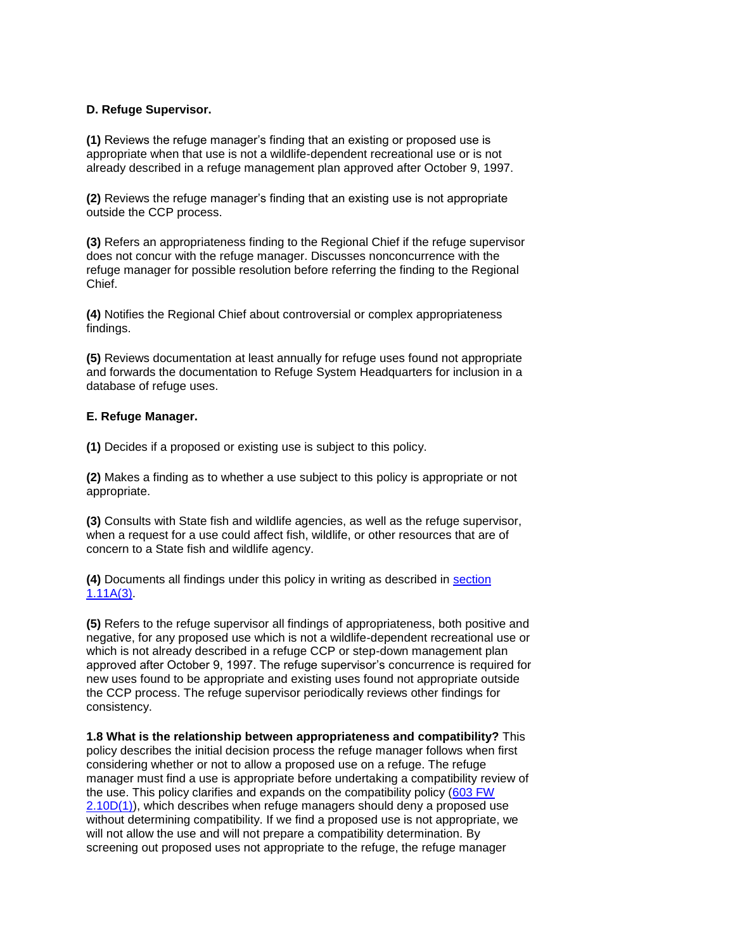### **D. Refuge Supervisor.**

**(1)** Reviews the refuge manager's finding that an existing or proposed use is appropriate when that use is not a wildlife-dependent recreational use or is not already described in a refuge management plan approved after October 9, 1997.

**(2)** Reviews the refuge manager's finding that an existing use is not appropriate outside the CCP process.

**(3)** Refers an appropriateness finding to the Regional Chief if the refuge supervisor does not concur with the refuge manager. Discusses nonconcurrence with the refuge manager for possible resolution before referring the finding to the Regional Chief.

**(4)** Notifies the Regional Chief about controversial or complex appropriateness findings.

**(5)** Reviews documentation at least annually for refuge uses found not appropriate and forwards the documentation to Refuge System Headquarters for inclusion in a database of refuge uses.

#### **E. Refuge Manager.**

**(1)** Decides if a proposed or existing use is subject to this policy.

**(2)** Makes a finding as to whether a use subject to this policy is appropriate or not appropriate.

**(3)** Consults with State fish and wildlife agencies, as well as the refuge supervisor, when a request for a use could affect fish, wildlife, or other resources that are of concern to a State fish and wildlife agency.

**(4)** Documents all findings under this policy in writing as described in [section](https://www.fws.gov/policy/603fw1.html#section111)  [1.11A\(3\).](https://www.fws.gov/policy/603fw1.html#section111)

**(5)** Refers to the refuge supervisor all findings of appropriateness, both positive and negative, for any proposed use which is not a wildlife-dependent recreational use or which is not already described in a refuge CCP or step-down management plan approved after October 9, 1997. The refuge supervisor's concurrence is required for new uses found to be appropriate and existing uses found not appropriate outside the CCP process. The refuge supervisor periodically reviews other findings for consistency.

**1.8 What is the relationship between appropriateness and compatibility?** This policy describes the initial decision process the refuge manager follows when first considering whether or not to allow a proposed use on a refuge. The refuge manager must find a use is appropriate before undertaking a compatibility review of the use. This policy clarifies and expands on the compatibility policy [\(603 FW](https://www.fws.gov/policy/603fw2.html)   $2.10D(1)$ , which describes when refuge managers should deny a proposed use without determining compatibility. If we find a proposed use is not appropriate, we will not allow the use and will not prepare a compatibility determination. By screening out proposed uses not appropriate to the refuge, the refuge manager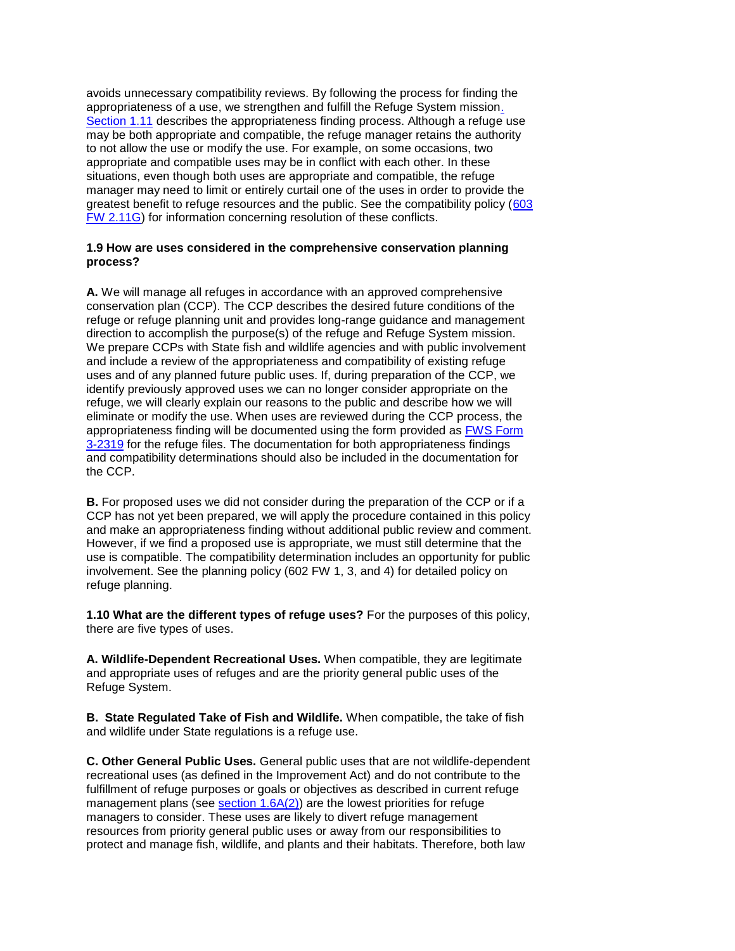avoids unnecessary compatibility reviews. By following the process for finding the appropriateness of a use, we strengthen and fulfill the Refuge System missio[n.](https://www.fws.gov/policy/603fw1.html#section111)  [Section 1.11](https://www.fws.gov/policy/603fw1.html#section111) describes the appropriateness finding process. Although a refuge use may be both appropriate and compatible, the refuge manager retains the authority to not allow the use or modify the use. For example, on some occasions, two appropriate and compatible uses may be in conflict with each other. In these situations, even though both uses are appropriate and compatible, the refuge manager may need to limit or entirely curtail one of the uses in order to provide the greatest benefit to refuge resources and the public. See the compatibility policy (603 [FW 2.11G\)](https://www.fws.gov/policy/603fw2.html) for information concerning resolution of these conflicts.

### **1.9 How are uses considered in the comprehensive conservation planning process?**

**A.** We will manage all refuges in accordance with an approved comprehensive conservation plan (CCP). The CCP describes the desired future conditions of the refuge or refuge planning unit and provides long-range guidance and management direction to accomplish the purpose(s) of the refuge and Refuge System mission. We prepare CCPs with State fish and wildlife agencies and with public involvement and include a review of the appropriateness and compatibility of existing refuge uses and of any planned future public uses. If, during preparation of the CCP, we identify previously approved uses we can no longer consider appropriate on the refuge, we will clearly explain our reasons to the public and describe how we will eliminate or modify the use. When uses are reviewed during the CCP process, the appropriateness finding will be documented using the form provided as [FWS Form](https://fishnet.fws.doi.net/projects/forms/SitePages/formNumberPage.aspx)  [3-2319](https://fishnet.fws.doi.net/projects/forms/SitePages/formNumberPage.aspx) for the refuge files. The documentation for both appropriateness findings and compatibility determinations should also be included in the documentation for the CCP.

**B.** For proposed uses we did not consider during the preparation of the CCP or if a CCP has not yet been prepared, we will apply the procedure contained in this policy and make an appropriateness finding without additional public review and comment. However, if we find a proposed use is appropriate, we must still determine that the use is compatible. The compatibility determination includes an opportunity for public involvement. See the planning policy (602 FW 1, 3, and 4) for detailed policy on refuge planning.

**1.10 What are the different types of refuge uses?** For the purposes of this policy, there are five types of uses.

**A. Wildlife-Dependent Recreational Uses.** When compatible, they are legitimate and appropriate uses of refuges and are the priority general public uses of the Refuge System.

**B. State Regulated Take of Fish and Wildlife.** When compatible, the take of fish and wildlife under State regulations is a refuge use.

**C. Other General Public Uses.** General public uses that are not wildlife-dependent recreational uses (as defined in the Improvement Act) and do not contribute to the fulfillment of refuge purposes or goals or objectives as described in current refuge management plans (see section  $1.6A(2)$ ) are the lowest priorities for refuge managers to consider. These uses are likely to divert refuge management resources from priority general public uses or away from our responsibilities to protect and manage fish, wildlife, and plants and their habitats. Therefore, both law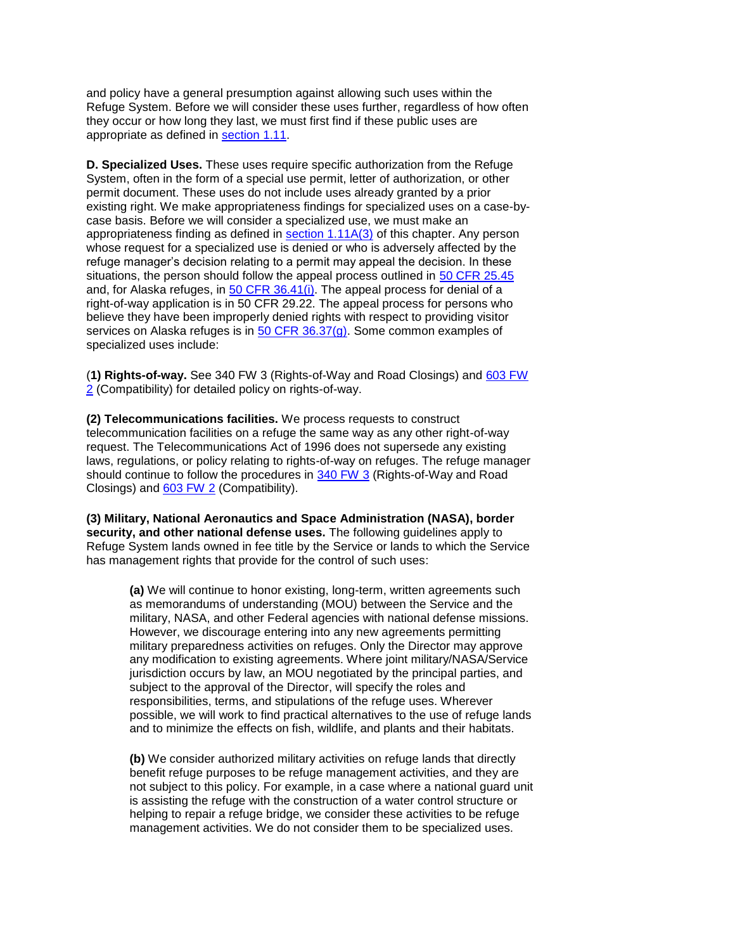and policy have a general presumption against allowing such uses within the Refuge System. Before we will consider these uses further, regardless of how often they occur or how long they last, we must first find if these public uses are appropriate as defined in [section 1.11.](https://www.fws.gov/policy/603fw1.html#section111)

**D. Specialized Uses.** These uses require specific authorization from the Refuge System, often in the form of a special use permit, letter of authorization, or other permit document. These uses do not include uses already granted by a prior existing right. We make appropriateness findings for specialized uses on a case-bycase basis. Before we will consider a specialized use, we must make an appropriateness finding as defined in [section 1.11A\(3\)](https://www.fws.gov/policy/603fw1.html#section111) of this chapter. Any person whose request for a specialized use is denied or who is adversely affected by the refuge manager's decision relating to a permit may appeal the decision. In these situations, the person should follow the appeal process outlined in [50 CFR 25.45](http://ecfr.gpoaccess.gov/cgi/t/text/text-idx?sid=31fef9fa35f47344210aceca769f7346&c=ecfr&tpl=/ecfrbrowse/Title50/50cfrv6_02.tpl) and, for Alaska refuges, in [50 CFR 36.41\(i\).](http://ecfr.gpoaccess.gov/cgi/t/text/text-idx?sid=31fef9fa35f47344210aceca769f7346&c=ecfr&tpl=/ecfrbrowse/Title50/50cfrv6_02.tpl) The appeal process for denial of a right-of-way application is in 50 CFR 29.22. The appeal process for persons who believe they have been improperly denied rights with respect to providing visitor services on Alaska refuges is in [50 CFR 36.37\(g\).](http://ecfr.gpoaccess.gov/cgi/t/text/text-idx?sid=31fef9fa35f47344210aceca769f7346&c=ecfr&tpl=/ecfrbrowse/Title50/50cfrv6_02.tpl) Some common examples of specialized uses include:

(**1) Rights-of-way.** See 340 FW 3 (Rights-of-Way and Road Closings) and [603 FW](https://www.fws.gov/policy/603fw2.html)  [2](https://www.fws.gov/policy/603fw2.html) (Compatibility) for detailed policy on rights-of-way.

**(2) Telecommunications facilities.** We process requests to construct telecommunication facilities on a refuge the same way as any other right-of-way request. The Telecommunications Act of 1996 does not supersede any existing laws, regulations, or policy relating to rights-of-way on refuges. The refuge manager should continue to follow the procedures in [340 FW 3](https://www.fws.gov/policy/340fw3.html) (Rights-of-Way and Road Closings) and [603 FW 2](https://www.fws.gov/policy/603fw2.html) (Compatibility).

**(3) Military, National Aeronautics and Space Administration (NASA), border security, and other national defense uses.** The following guidelines apply to Refuge System lands owned in fee title by the Service or lands to which the Service has management rights that provide for the control of such uses:

**(a)** We will continue to honor existing, long-term, written agreements such as memorandums of understanding (MOU) between the Service and the military, NASA, and other Federal agencies with national defense missions. However, we discourage entering into any new agreements permitting military preparedness activities on refuges. Only the Director may approve any modification to existing agreements. Where joint military/NASA/Service jurisdiction occurs by law, an MOU negotiated by the principal parties, and subject to the approval of the Director, will specify the roles and responsibilities, terms, and stipulations of the refuge uses. Wherever possible, we will work to find practical alternatives to the use of refuge lands and to minimize the effects on fish, wildlife, and plants and their habitats.

**(b)** We consider authorized military activities on refuge lands that directly benefit refuge purposes to be refuge management activities, and they are not subject to this policy. For example, in a case where a national guard unit is assisting the refuge with the construction of a water control structure or helping to repair a refuge bridge, we consider these activities to be refuge management activities. We do not consider them to be specialized uses.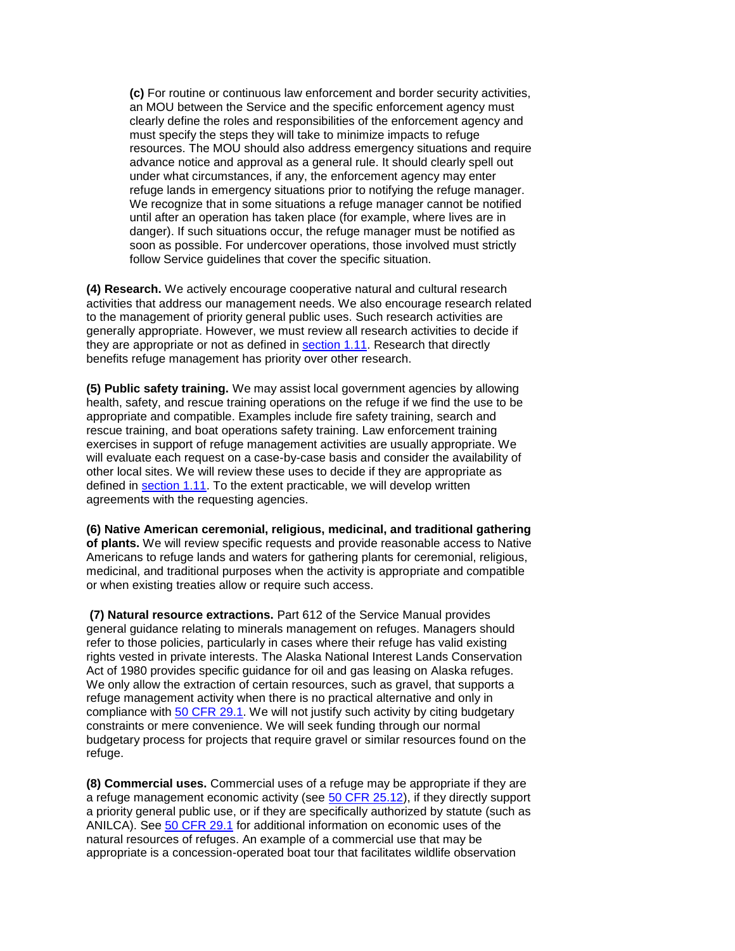**(c)** For routine or continuous law enforcement and border security activities, an MOU between the Service and the specific enforcement agency must clearly define the roles and responsibilities of the enforcement agency and must specify the steps they will take to minimize impacts to refuge resources. The MOU should also address emergency situations and require advance notice and approval as a general rule. It should clearly spell out under what circumstances, if any, the enforcement agency may enter refuge lands in emergency situations prior to notifying the refuge manager. We recognize that in some situations a refuge manager cannot be notified until after an operation has taken place (for example, where lives are in danger). If such situations occur, the refuge manager must be notified as soon as possible. For undercover operations, those involved must strictly follow Service guidelines that cover the specific situation.

**(4) Research.** We actively encourage cooperative natural and cultural research activities that address our management needs. We also encourage research related to the management of priority general public uses. Such research activities are generally appropriate. However, we must review all research activities to decide if they are appropriate or not as defined in [section 1.11.](https://www.fws.gov/policy/603fw1.html#section111) Research that directly benefits refuge management has priority over other research.

**(5) Public safety training.** We may assist local government agencies by allowing health, safety, and rescue training operations on the refuge if we find the use to be appropriate and compatible. Examples include fire safety training, search and rescue training, and boat operations safety training. Law enforcement training exercises in support of refuge management activities are usually appropriate. We will evaluate each request on a case-by-case basis and consider the availability of other local sites. We will review these uses to decide if they are appropriate as defined in [section 1.11.](https://www.fws.gov/policy/603fw1.html#section111) To the extent practicable, we will develop written agreements with the requesting agencies.

**(6) Native American ceremonial, religious, medicinal, and traditional gathering of plants.** We will review specific requests and provide reasonable access to Native Americans to refuge lands and waters for gathering plants for ceremonial, religious, medicinal, and traditional purposes when the activity is appropriate and compatible or when existing treaties allow or require such access.

**(7) Natural resource extractions.** Part 612 of the Service Manual provides general guidance relating to minerals management on refuges. Managers should refer to those policies, particularly in cases where their refuge has valid existing rights vested in private interests. The Alaska National Interest Lands Conservation Act of 1980 provides specific guidance for oil and gas leasing on Alaska refuges. We only allow the extraction of certain resources, such as gravel, that supports a refuge management activity when there is no practical alternative and only in compliance with [50 CFR 29.1.](http://ecfr.gpoaccess.gov/cgi/t/text/text-idx?sid=31fef9fa35f47344210aceca769f7346&c=ecfr&tpl=/ecfrbrowse/Title50/50cfrv6_02.tpl) We will not justify such activity by citing budgetary constraints or mere convenience. We will seek funding through our normal budgetary process for projects that require gravel or similar resources found on the refuge.

**(8) Commercial uses.** Commercial uses of a refuge may be appropriate if they are a refuge management economic activity (see [50 CFR 25.12\)](http://ecfr.gpoaccess.gov/cgi/t/text/text-idx?sid=31fef9fa35f47344210aceca769f7346&c=ecfr&tpl=/ecfrbrowse/Title50/50cfrv6_02.tpl), if they directly support a priority general public use, or if they are specifically authorized by statute (such as ANILCA). See [50 CFR 29.1](http://ecfr.gpoaccess.gov/cgi/t/text/text-idx?sid=31fef9fa35f47344210aceca769f7346&c=ecfr&tpl=/ecfrbrowse/Title50/50cfrv6_02.tpl) for additional information on economic uses of the natural resources of refuges. An example of a commercial use that may be appropriate is a concession-operated boat tour that facilitates wildlife observation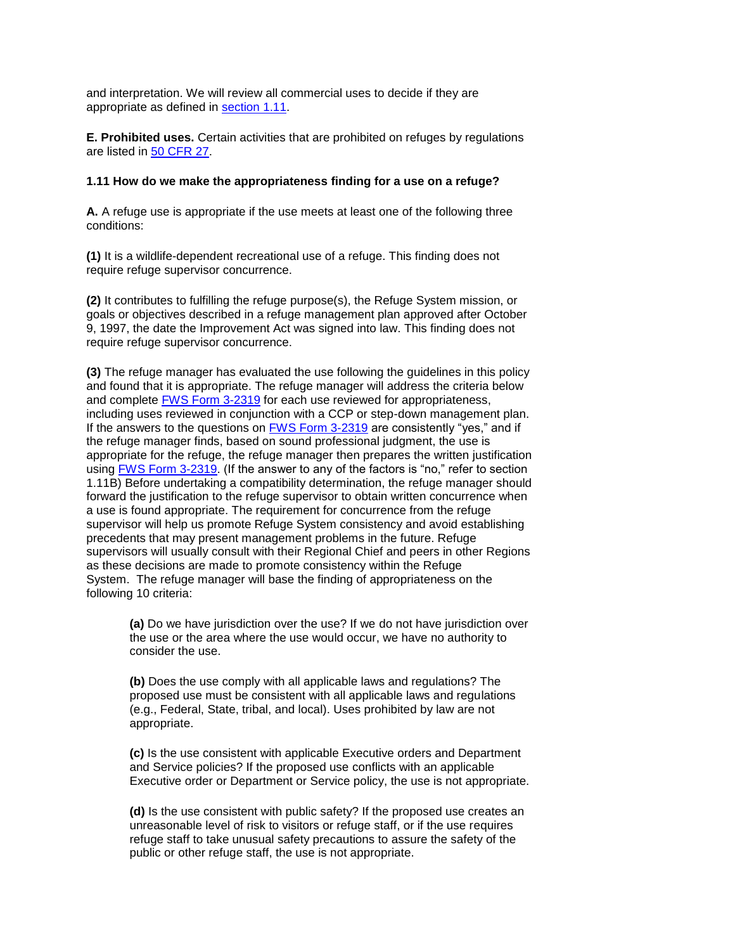and interpretation. We will review all commercial uses to decide if they are appropriate as defined in [section 1.11.](https://www.fws.gov/policy/603fw1.html#section111)

**E. Prohibited uses.** Certain activities that are prohibited on refuges by regulations are listed in [50 CFR 27.](http://ecfr.gpoaccess.gov/cgi/t/text/text-idx?sid=31fef9fa35f47344210aceca769f7346&c=ecfr&tpl=/ecfrbrowse/Title50/50cfrv6_02.tpl)

### **1.11 How do we make the appropriateness finding for a use on a refuge?**

**A.** A refuge use is appropriate if the use meets at least one of the following three conditions:

**(1)** It is a wildlife-dependent recreational use of a refuge. This finding does not require refuge supervisor concurrence.

**(2)** It contributes to fulfilling the refuge purpose(s), the Refuge System mission, or goals or objectives described in a refuge management plan approved after October 9, 1997, the date the Improvement Act was signed into law. This finding does not require refuge supervisor concurrence.

**(3)** The refuge manager has evaluated the use following the guidelines in this policy and found that it is appropriate. The refuge manager will address the criteria below and complete [FWS Form 3-2319](https://fishnet.fws.doi.net/projects/forms/SitePages/formNumberPage.aspx) for each use reviewed for appropriateness, including uses reviewed in conjunction with a CCP or step-down management plan. If the answers to the questions on [FWS Form 3-2319](https://fishnet.fws.doi.net/projects/forms/SitePages/formNumberPage.aspx) are consistently "yes," and if the refuge manager finds, based on sound professional judgment, the use is appropriate for the refuge, the refuge manager then prepares the written justification using [FWS Form 3-2319.](https://fishnet.fws.doi.net/projects/forms/SitePages/formNumberPage.aspx) (If the answer to any of the factors is "no," refer to section 1.11B) Before undertaking a compatibility determination, the refuge manager should forward the justification to the refuge supervisor to obtain written concurrence when a use is found appropriate. The requirement for concurrence from the refuge supervisor will help us promote Refuge System consistency and avoid establishing precedents that may present management problems in the future. Refuge supervisors will usually consult with their Regional Chief and peers in other Regions as these decisions are made to promote consistency within the Refuge System. The refuge manager will base the finding of appropriateness on the following 10 criteria:

**(a)** Do we have jurisdiction over the use? If we do not have jurisdiction over the use or the area where the use would occur, we have no authority to consider the use.

**(b)** Does the use comply with all applicable laws and regulations? The proposed use must be consistent with all applicable laws and regulations (e.g., Federal, State, tribal, and local). Uses prohibited by law are not appropriate.

**(c)** Is the use consistent with applicable Executive orders and Department and Service policies? If the proposed use conflicts with an applicable Executive order or Department or Service policy, the use is not appropriate.

**(d)** Is the use consistent with public safety? If the proposed use creates an unreasonable level of risk to visitors or refuge staff, or if the use requires refuge staff to take unusual safety precautions to assure the safety of the public or other refuge staff, the use is not appropriate.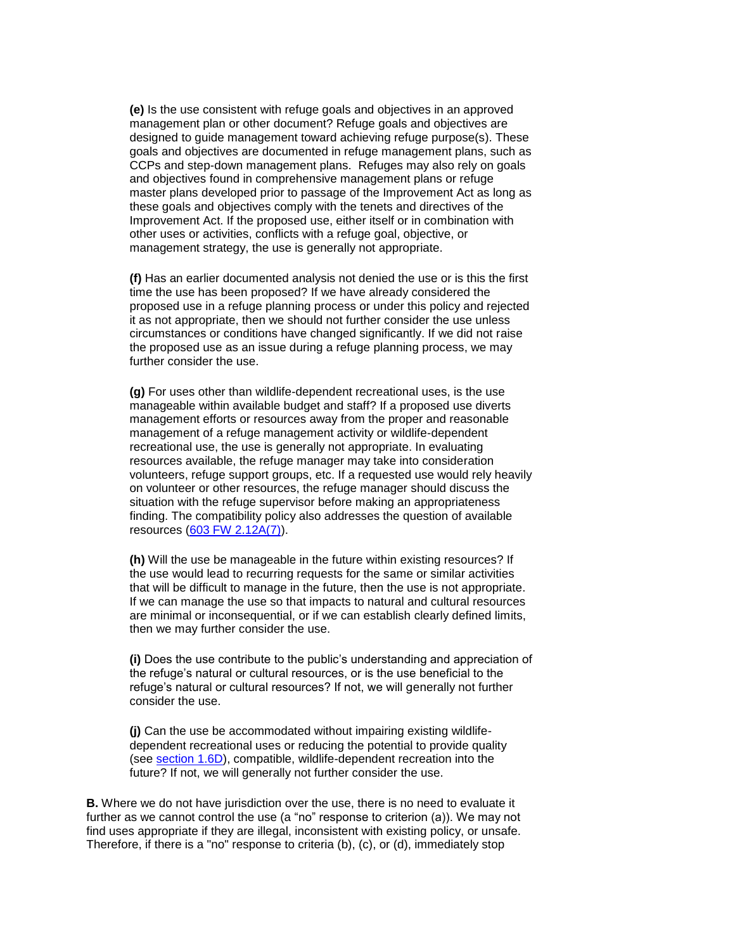**(e)** Is the use consistent with refuge goals and objectives in an approved management plan or other document? Refuge goals and objectives are designed to guide management toward achieving refuge purpose(s). These goals and objectives are documented in refuge management plans, such as CCPs and step-down management plans. Refuges may also rely on goals and objectives found in comprehensive management plans or refuge master plans developed prior to passage of the Improvement Act as long as these goals and objectives comply with the tenets and directives of the Improvement Act. If the proposed use, either itself or in combination with other uses or activities, conflicts with a refuge goal, objective, or management strategy, the use is generally not appropriate.

**(f)** Has an earlier documented analysis not denied the use or is this the first time the use has been proposed? If we have already considered the proposed use in a refuge planning process or under this policy and rejected it as not appropriate, then we should not further consider the use unless circumstances or conditions have changed significantly. If we did not raise the proposed use as an issue during a refuge planning process, we may further consider the use.

**(g)** For uses other than wildlife-dependent recreational uses, is the use manageable within available budget and staff? If a proposed use diverts management efforts or resources away from the proper and reasonable management of a refuge management activity or wildlife-dependent recreational use, the use is generally not appropriate. In evaluating resources available, the refuge manager may take into consideration volunteers, refuge support groups, etc. If a requested use would rely heavily on volunteer or other resources, the refuge manager should discuss the situation with the refuge supervisor before making an appropriateness finding. The compatibility policy also addresses the question of available resources [\(603 FW 2.12A\(7\)\)](https://www.fws.gov/policy/603fw2.html).

**(h)** Will the use be manageable in the future within existing resources? If the use would lead to recurring requests for the same or similar activities that will be difficult to manage in the future, then the use is not appropriate. If we can manage the use so that impacts to natural and cultural resources are minimal or inconsequential, or if we can establish clearly defined limits, then we may further consider the use.

**(i)** Does the use contribute to the public's understanding and appreciation of the refuge's natural or cultural resources, or is the use beneficial to the refuge's natural or cultural resources? If not, we will generally not further consider the use.

**(j)** Can the use be accommodated without impairing existing wildlifedependent recreational uses or reducing the potential to provide quality (see [section 1.6D\)](https://www.fws.gov/policy/603fw1.html#section16), compatible, wildlife-dependent recreation into the future? If not, we will generally not further consider the use.

**B.** Where we do not have jurisdiction over the use, there is no need to evaluate it further as we cannot control the use (a "no" response to criterion (a)). We may not find uses appropriate if they are illegal, inconsistent with existing policy, or unsafe. Therefore, if there is a "no" response to criteria (b), (c), or (d), immediately stop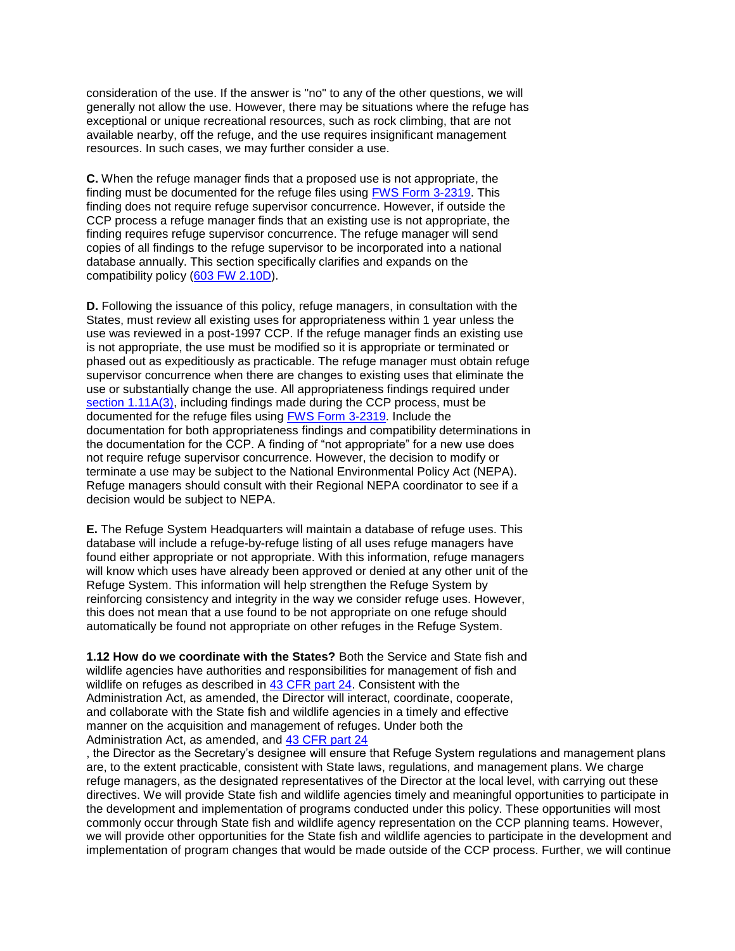consideration of the use. If the answer is "no" to any of the other questions, we will generally not allow the use. However, there may be situations where the refuge has exceptional or unique recreational resources, such as rock climbing, that are not available nearby, off the refuge, and the use requires insignificant management resources. In such cases, we may further consider a use.

**C.** When the refuge manager finds that a proposed use is not appropriate, the finding must be documented for the refuge files using [FWS Form 3-2319.](https://fishnet.fws.doi.net/projects/forms/SitePages/formNumberPage.aspx) This finding does not require refuge supervisor concurrence. However, if outside the CCP process a refuge manager finds that an existing use is not appropriate, the finding requires refuge supervisor concurrence. The refuge manager will send copies of all findings to the refuge supervisor to be incorporated into a national database annually. This section specifically clarifies and expands on the compatibility policy [\(603 FW 2.10D\)](https://www.fws.gov/policy/603fw2.html).

**D.** Following the issuance of this policy, refuge managers, in consultation with the States, must review all existing uses for appropriateness within 1 year unless the use was reviewed in a post-1997 CCP. If the refuge manager finds an existing use is not appropriate, the use must be modified so it is appropriate or terminated or phased out as expeditiously as practicable. The refuge manager must obtain refuge supervisor concurrence when there are changes to existing uses that eliminate the use or substantially change the use. All appropriateness findings required under [section 1.11A\(3\),](https://www.fws.gov/policy/603fw1.html#section111) including findings made during the CCP process, must be documented for the refuge files using [FWS Form 3-2319.](https://fishnet.fws.doi.net/projects/forms/SitePages/formNumberPage.aspx) Include the documentation for both appropriateness findings and compatibility determinations in the documentation for the CCP. A finding of "not appropriate" for a new use does not require refuge supervisor concurrence. However, the decision to modify or terminate a use may be subject to the National Environmental Policy Act (NEPA). Refuge managers should consult with their Regional NEPA coordinator to see if a decision would be subject to NEPA.

**E.** The Refuge System Headquarters will maintain a database of refuge uses. This database will include a refuge-by-refuge listing of all uses refuge managers have found either appropriate or not appropriate. With this information, refuge managers will know which uses have already been approved or denied at any other unit of the Refuge System. This information will help strengthen the Refuge System by reinforcing consistency and integrity in the way we consider refuge uses. However, this does not mean that a use found to be not appropriate on one refuge should automatically be found not appropriate on other refuges in the Refuge System.

**1.12 How do we coordinate with the States?** Both the Service and State fish and wildlife agencies have authorities and responsibilities for management of fish and wildlife on refuges as described in [43 CFR part 24.](http://ecfr.gpoaccess.gov/cgi/t/text/text-idx?sid=755e2878a7f08344033afa02d847b365&c=ecfr&tpl=/ecfrbrowse/Title43/43cfrv1_02.tpl) Consistent with the Administration Act, as amended, the Director will interact, coordinate, cooperate, and collaborate with the State fish and wildlife agencies in a timely and effective manner on the acquisition and management of refuges. Under both the Administration Act, as amended, and [43](http://ecfr.gpoaccess.gov/cgi/t/text/text-idx?sid=755e2878a7f08344033afa02d847b365&c=ecfr&tpl=/ecfrbrowse/Title43/43cfrv1_02.tpl) CFR part 24

, the Director as the Secretary's designee will ensure that Refuge System regulations and management plans are, to the extent practicable, consistent with State laws, regulations, and management plans. We charge refuge managers, as the designated representatives of the Director at the local level, with carrying out these directives. We will provide State fish and wildlife agencies timely and meaningful opportunities to participate in the development and implementation of programs conducted under this policy. These opportunities will most commonly occur through State fish and wildlife agency representation on the CCP planning teams. However, we will provide other opportunities for the State fish and wildlife agencies to participate in the development and implementation of program changes that would be made outside of the CCP process. Further, we will continue